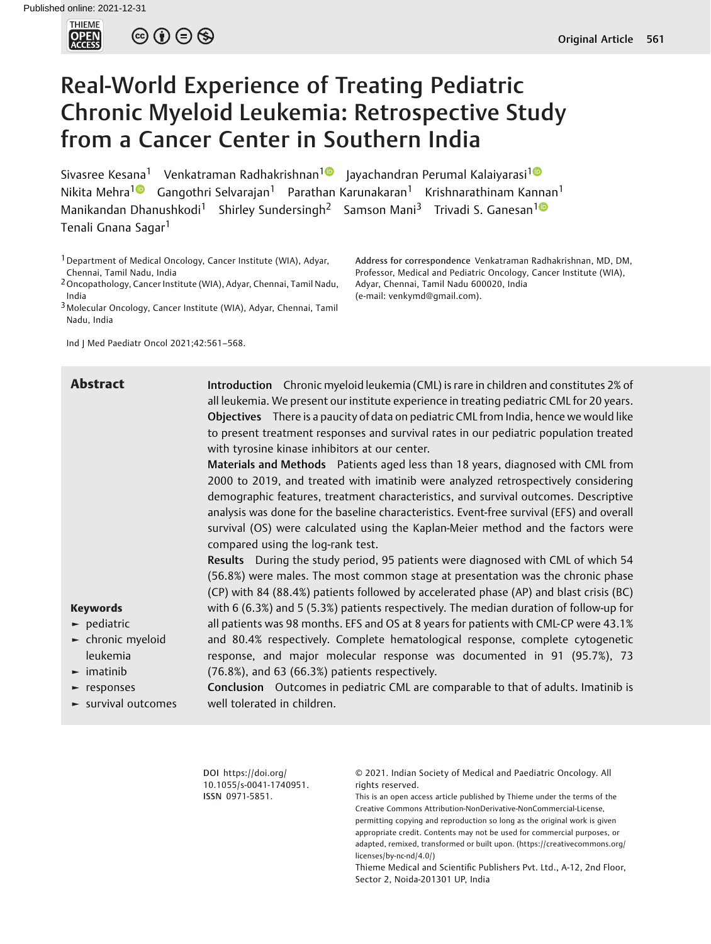

 $\circledcirc \circledcirc \circledcirc$ 

# Real-World Experience of Treating Pediatric Chronic Myeloid Leukemia: Retrospective Study from a Cancer Center in Southern India

Sivasree Kesana<sup>1</sup> Venkatraman Radhakrishnan<sup>10</sup> Jayachandran Perumal Kalaiyarasi<sup>10</sup> Nikita Mehra<sup>1</sup> Gangothri Selvarajan<sup>1</sup> Parathan Karunakaran<sup>1</sup> Krishnarathinam Kannan<sup>1</sup> Manikandan Dhanushkodi<sup>1</sup> Shirley Sundersingh<sup>2</sup> Samson Mani<sup>3</sup> Trivadi S. Ganesan<sup>10</sup> Tenali Gnana Sagar<sup>1</sup>

<sup>1</sup> Department of Medical Oncology, Cancer Institute (WIA), Adyar, Chennai, Tamil Nadu, India

2Oncopathology, Cancer Institute (WIA), Adyar, Chennai, Tamil Nadu, India

3Molecular Oncology, Cancer Institute (WIA), Adyar, Chennai, Tamil Nadu, India

Ind J Med Paediatr Oncol 2021;42:561–568.

Address for correspondence Venkatraman Radhakrishnan, MD, DM, Professor, Medical and Pediatric Oncology, Cancer Institute (WIA), Adyar, Chennai, Tamil Nadu 600020, India (e-mail: [venkymd@gmail.com](mailto:venkymd@gmail.com)).

Abstract Introduction Chronic myeloid leukemia (CML) is rare in children and constitutes 2% of all leukemia. We present our institute experience in treating pediatric CML for 20 years. Objectives There is a paucity of data on pediatric CML from India, hence we would like to present treatment responses and survival rates in our pediatric population treated with tyrosine kinase inhibitors at our center. Materials and Methods Patients aged less than 18 years, diagnosed with CML from

2000 to 2019, and treated with imatinib were analyzed retrospectively considering demographic features, treatment characteristics, and survival outcomes. Descriptive analysis was done for the baseline characteristics. Event-free survival (EFS) and overall survival (OS) were calculated using the Kaplan-Meier method and the factors were compared using the log-rank test.

Results During the study period, 95 patients were diagnosed with CML of which 54 (56.8%) were males. The most common stage at presentation was the chronic phase (CP) with 84 (88.4%) patients followed by accelerated phase (AP) and blast crisis (BC) with 6 (6.3%) and 5 (5.3%) patients respectively. The median duration of follow-up for all patients was 98 months. EFS and OS at 8 years for patients with CML-CP were 43.1% and 80.4% respectively. Complete hematological response, complete cytogenetic response, and major molecular response was documented in 91 (95.7%), 73 (76.8%), and 63 (66.3%) patients respectively.

► pediatric

Keywords

- ► chronic myeloid leukemia
- ► imatinib
- ► responses
- ► survival outcomes

Conclusion Outcomes in pediatric CML are comparable to that of adults. Imatinib is well tolerated in children.

> DOI [https://doi.org/](https://doi.org/10.1055/s-0041-1740951) [10.1055/s-0041-1740951](https://doi.org/10.1055/s-0041-1740951). ISSN 0971-5851.

© 2021. Indian Society of Medical and Paediatric Oncology. All rights reserved.

This is an open access article published by Thieme under the terms of the Creative Commons Attribution-NonDerivative-NonCommercial-License, permitting copying and reproduction so long as the original work is given appropriate credit. Contents may not be used for commercial purposes, or adapted, remixed, transformed or built upon. (https://creativecommons.org/ licenses/by-nc-nd/4.0/)

Thieme Medical and Scientific Publishers Pvt. Ltd., A-12, 2nd Floor, Sector 2, Noida-201301 UP, India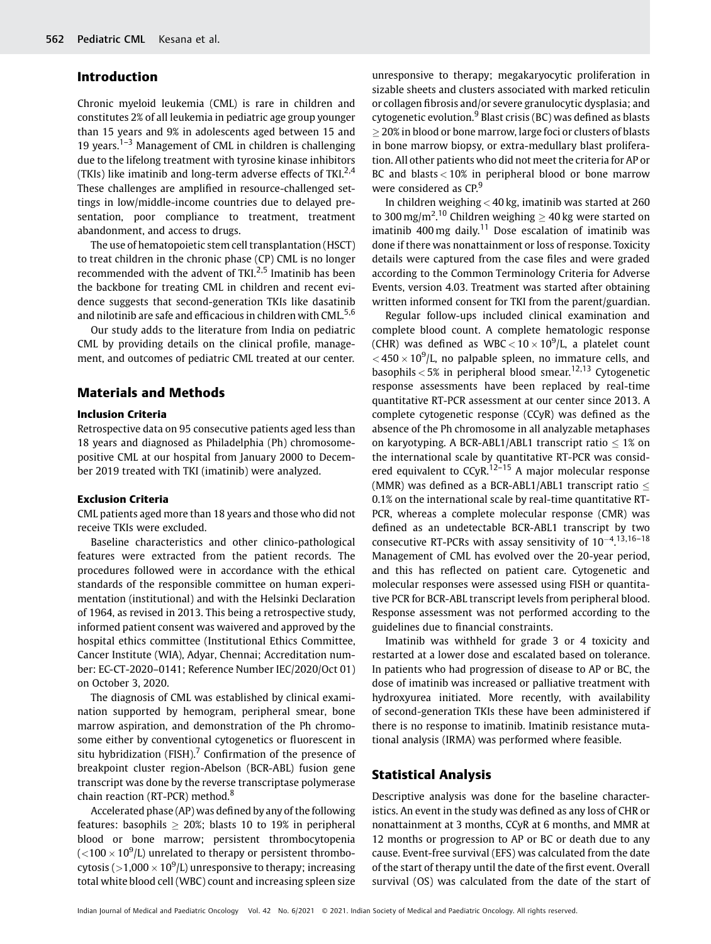# Introduction

Chronic myeloid leukemia (CML) is rare in children and constitutes 2% of all leukemia in pediatric age group younger than 15 years and 9% in adolescents aged between 15 and 19 years.<sup>1–3</sup> Management of CML in children is challenging due to the lifelong treatment with tyrosine kinase inhibitors (TKIs) like imatinib and long-term adverse effects of TKI $^{2,4}$ These challenges are amplified in resource-challenged settings in low/middle-income countries due to delayed presentation, poor compliance to treatment, treatment abandonment, and access to drugs.

The use of hematopoietic stem cell transplantation (HSCT) to treat children in the chronic phase (CP) CML is no longer recommended with the advent of TKI.<sup>2,5</sup> Imatinib has been the backbone for treating CML in children and recent evidence suggests that second-generation TKIs like dasatinib and nilotinib are safe and efficacious in children with CML.<sup>5,6</sup>

Our study adds to the literature from India on pediatric CML by providing details on the clinical profile, management, and outcomes of pediatric CML treated at our center.

# Materials and Methods

## Inclusion Criteria

Retrospective data on 95 consecutive patients aged less than 18 years and diagnosed as Philadelphia (Ph) chromosomepositive CML at our hospital from January 2000 to December 2019 treated with TKI (imatinib) were analyzed.

#### Exclusion Criteria

CML patients aged more than 18 years and those who did not receive TKIs were excluded.

Baseline characteristics and other clinico-pathological features were extracted from the patient records. The procedures followed were in accordance with the ethical standards of the responsible committee on human experimentation (institutional) and with the Helsinki Declaration of 1964, as revised in 2013. This being a retrospective study, informed patient consent was waivered and approved by the hospital ethics committee (Institutional Ethics Committee, Cancer Institute (WIA), Adyar, Chennai; Accreditation number: EC-CT-2020–0141; Reference Number IEC/2020/Oct 01) on October 3, 2020.

The diagnosis of CML was established by clinical examination supported by hemogram, peripheral smear, bone marrow aspiration, and demonstration of the Ph chromosome either by conventional cytogenetics or fluorescent in situ hybridization (FISH).<sup>7</sup> Confirmation of the presence of breakpoint cluster region-Abelson (BCR-ABL) fusion gene transcript was done by the reverse transcriptase polymerase chain reaction (RT-PCR) method.<sup>8</sup>

Accelerated phase (AP) was defined by any of the following features: basophils  $> 20\%$ ; blasts 10 to 19% in peripheral blood or bone marrow; persistent thrombocytopenia ( $<$ 100  $\times$  10 $^{9}$ /L) unrelated to therapy or persistent thrombocytosis (  $>$  1,000  $\times$  10 $^{9}$ /L) unresponsive to therapy; increasing total white blood cell (WBC) count and increasing spleen size unresponsive to therapy; megakaryocytic proliferation in sizable sheets and clusters associated with marked reticulin or collagen fibrosis and/or severe granulocytic dysplasia; and cytogenetic evolution. $9B$ last crisis (BC) was defined as blasts 20% in blood or bone marrow, large foci or clusters of blasts in bone marrow biopsy, or extra-medullary blast proliferation. All other patients who did not meet the criteria for AP or BC and blasts < 10% in peripheral blood or bone marrow were considered as CP.<sup>9</sup>

In children weighing < 40 kg, imatinib was started at 260 to 300 mg/m<sup>2</sup>.<sup>10</sup> Children weighing  $\geq 40$  kg were started on imatinib 400 mg daily.<sup>11</sup> Dose escalation of imatinib was done if there was nonattainment or loss of response. Toxicity details were captured from the case files and were graded according to the Common Terminology Criteria for Adverse Events, version 4.03. Treatment was started after obtaining written informed consent for TKI from the parent/guardian.

Regular follow-ups included clinical examination and complete blood count. A complete hematologic response (CHR) was defined as  $WBC < 10 \times 10^9/L$ , a platelet count  $<$  450  $\times$  10<sup>9</sup>/L, no palpable spleen, no immature cells, and basophils  $< 5\%$  in peripheral blood smear.<sup>12,13</sup> Cytogenetic response assessments have been replaced by real-time quantitative RT-PCR assessment at our center since 2013. A complete cytogenetic response (CCyR) was defined as the absence of the Ph chromosome in all analyzable metaphases on karyotyping. A BCR-ABL1/ABL1 transcript ratio  $\leq 1\%$  on the international scale by quantitative RT-PCR was considered equivalent to  $CCyR$ <sup>12-15</sup> A major molecular response (MMR) was defined as a BCR-ABL1/ABL1 transcript ratio  $\leq$ 0.1% on the international scale by real-time quantitative RT-PCR, whereas a complete molecular response (CMR) was defined as an undetectable BCR-ABL1 transcript by two consecutive RT-PCRs with assay sensitivity of  $10^{-4}$ .<sup>13,16-18</sup> Management of CML has evolved over the 20-year period, and this has reflected on patient care. Cytogenetic and molecular responses were assessed using FISH or quantitative PCR for BCR-ABL transcript levels from peripheral blood. Response assessment was not performed according to the guidelines due to financial constraints.

Imatinib was withheld for grade 3 or 4 toxicity and restarted at a lower dose and escalated based on tolerance. In patients who had progression of disease to AP or BC, the dose of imatinib was increased or palliative treatment with hydroxyurea initiated. More recently, with availability of second-generation TKIs these have been administered if there is no response to imatinib. Imatinib resistance mutational analysis (IRMA) was performed where feasible.

## Statistical Analysis

Descriptive analysis was done for the baseline characteristics. An event in the study was defined as any loss of CHR or nonattainment at 3 months, CCyR at 6 months, and MMR at 12 months or progression to AP or BC or death due to any cause. Event-free survival (EFS) was calculated from the date of the start of therapy until the date of the first event. Overall survival (OS) was calculated from the date of the start of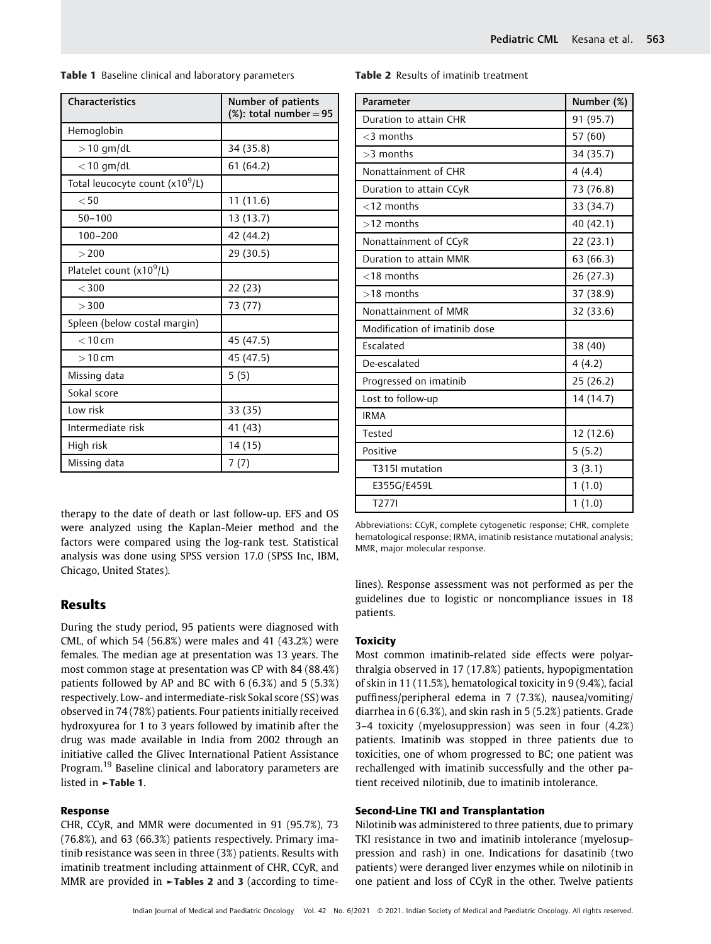| Table 1 Baseline clinical and laboratory parameters |  |
|-----------------------------------------------------|--|
|-----------------------------------------------------|--|

| <b>Characteristics</b>                      | Number of patients<br>$(X)$ : total number = 95 |
|---------------------------------------------|-------------------------------------------------|
| Hemoglobin                                  |                                                 |
| $>$ 10 qm/dL                                | 34 (35.8)                                       |
| $<$ 10 gm/dL                                | 61(64.2)                                        |
| Total leucocyte count (x10 <sup>9</sup> /L) |                                                 |
| $<$ 50                                      | 11(11.6)                                        |
| $50 - 100$                                  | 13 (13.7)                                       |
| $100 - 200$                                 | 42 (44.2)                                       |
| >200                                        | 29 (30.5)                                       |
| Platelet count $(x10^9/L)$                  |                                                 |
| $<$ 300                                     | 22 (23)                                         |
| >300                                        | 73 (77)                                         |
| Spleen (below costal margin)                |                                                 |
| $< 10$ cm                                   | 45 (47.5)                                       |
| $>10$ cm                                    | 45 (47.5)                                       |
| Missing data                                | 5(5)                                            |
| Sokal score                                 |                                                 |
| Low risk                                    | 33 (35)                                         |
| Intermediate risk                           | 41 (43)                                         |
| High risk                                   | 14 (15)                                         |
| Missing data                                | 7 (7)                                           |

therapy to the date of death or last follow-up. EFS and OS were analyzed using the Kaplan-Meier method and the factors were compared using the log-rank test. Statistical analysis was done using SPSS version 17.0 (SPSS Inc, IBM, Chicago, United States).

## Results

During the study period, 95 patients were diagnosed with CML, of which 54 (56.8%) were males and 41 (43.2%) were females. The median age at presentation was 13 years. The most common stage at presentation was CP with 84 (88.4%) patients followed by AP and BC with 6 (6.3%) and 5 (5.3%) respectively. Low- and intermediate-risk Sokal score (SS) was observed in 74 (78%) patients. Four patients initially received hydroxyurea for 1 to 3 years followed by imatinib after the drug was made available in India from 2002 through an initiative called the Glivec International Patient Assistance Program.<sup>19</sup> Baseline clinical and laboratory parameters are listed in ►Table 1.

#### Response

CHR, CCyR, and MMR were documented in 91 (95.7%), 73 (76.8%), and 63 (66.3%) patients respectively. Primary imatinib resistance was seen in three (3%) patients. Results with imatinib treatment including attainment of CHR, CCyR, and MMR are provided in **-Tables 2** and 3 (according to time-

| Table 2 Results of imatinib treatment |  |
|---------------------------------------|--|
|---------------------------------------|--|

| Parameter                     | Number (%) |
|-------------------------------|------------|
| Duration to attain CHR        | 91 (95.7)  |
| $<$ 3 months                  | 57 (60)    |
| >3 months                     | 34 (35.7)  |
| Nonattainment of CHR          | 4(4.4)     |
| Duration to attain CCyR       | 73 (76.8)  |
| $<$ 12 months                 | 33 (34.7)  |
| >12 months                    | 40 (42.1)  |
| Nonattainment of CCyR         | 22 (23.1)  |
| Duration to attain MMR        | 63 (66.3)  |
| $<$ 18 months                 | 26 (27.3)  |
| $>18$ months                  | 37 (38.9)  |
| Nonattainment of MMR          | 32 (33.6)  |
| Modification of imatinib dose |            |
| Escalated                     | 38 (40)    |
| De-escalated                  | 4(4.2)     |
| Progressed on imatinib        | 25(26.2)   |
| Lost to follow-up             | 14 (14.7)  |
| <b>IRMA</b>                   |            |
| Tested                        | 12 (12.6)  |
| Positive                      | 5(5.2)     |
| T315I mutation                | 3(3.1)     |
| E355G/E459L                   | 1(1.0)     |
| T2771                         | 1(1.0)     |

Abbreviations: CCyR, complete cytogenetic response; CHR, complete hematological response; IRMA, imatinib resistance mutational analysis; MMR, major molecular response.

lines). Response assessment was not performed as per the guidelines due to logistic or noncompliance issues in 18 patients.

### **Toxicity**

Most common imatinib-related side effects were polyarthralgia observed in 17 (17.8%) patients, hypopigmentation of skin in 11 (11.5%), hematological toxicity in 9 (9.4%), facial puffiness/peripheral edema in 7 (7.3%), nausea/vomiting/ diarrhea in 6 (6.3%), and skin rash in 5 (5.2%) patients. Grade 3–4 toxicity (myelosuppression) was seen in four (4.2%) patients. Imatinib was stopped in three patients due to toxicities, one of whom progressed to BC; one patient was rechallenged with imatinib successfully and the other patient received nilotinib, due to imatinib intolerance.

#### Second-Line TKI and Transplantation

Nilotinib was administered to three patients, due to primary TKI resistance in two and imatinib intolerance (myelosuppression and rash) in one. Indications for dasatinib (two patients) were deranged liver enzymes while on nilotinib in one patient and loss of CCyR in the other. Twelve patients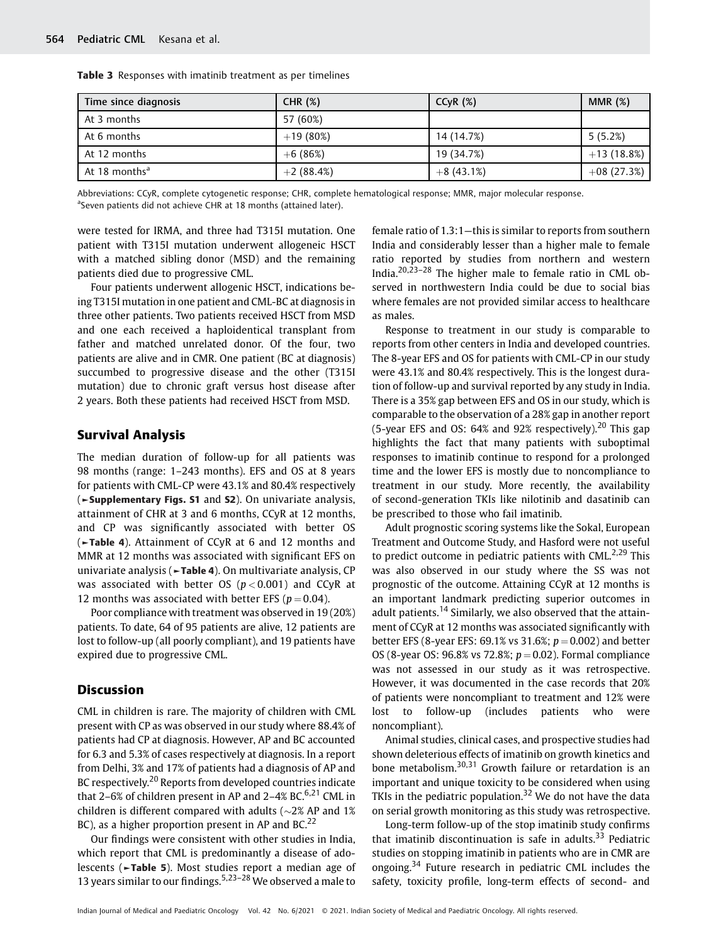| Time since diagnosis      | CHR $(%)$   | CCVR(%)     | MMR $(%)$    |
|---------------------------|-------------|-------------|--------------|
| At 3 months               | 57 (60%)    |             |              |
| At 6 months               | $+19(80%)$  | 14 (14.7%)  | 5(5.2%)      |
| At 12 months              | $+6(86%)$   | 19 (34.7%)  | $+13(18.8%)$ |
| At 18 months <sup>a</sup> | $+2(88.4%)$ | $+8(43.1%)$ | $+08(27.3%)$ |

Table 3 Responses with imatinib treatment as per timelines

Abbreviations: CCyR, complete cytogenetic response; CHR, complete hematological response; MMR, major molecular response. <sup>a</sup>Seven patients did not achieve CHR at 18 months (attained later).

were tested for IRMA, and three had T315I mutation. One patient with T315I mutation underwent allogeneic HSCT with a matched sibling donor (MSD) and the remaining patients died due to progressive CML.

Four patients underwent allogenic HSCT, indications being T315I mutation in one patient and CML-BC at diagnosis in three other patients. Two patients received HSCT from MSD and one each received a haploidentical transplant from father and matched unrelated donor. Of the four, two patients are alive and in CMR. One patient (BC at diagnosis) succumbed to progressive disease and the other (T315I mutation) due to chronic graft versus host disease after 2 years. Both these patients had received HSCT from MSD.

# Survival Analysis

The median duration of follow-up for all patients was 98 months (range: 1–243 months). EFS and OS at 8 years for patients with CML-CP were 43.1% and 80.4% respectively (►Supplementary Figs. S1 and S2). On univariate analysis, attainment of CHR at 3 and 6 months, CCyR at 12 months, and CP was significantly associated with better OS (►Table 4). Attainment of CCyR at 6 and 12 months and MMR at 12 months was associated with significant EFS on univariate analysis (►Table 4). On multivariate analysis, CP was associated with better OS  $(p < 0.001)$  and CCyR at 12 months was associated with better EFS ( $p = 0.04$ ).

Poor compliance with treatment was observed in 19 (20%) patients. To date, 64 of 95 patients are alive, 12 patients are lost to follow-up (all poorly compliant), and 19 patients have expired due to progressive CML.

## **Discussion**

CML in children is rare. The majority of children with CML present with CP as was observed in our study where 88.4% of patients had CP at diagnosis. However, AP and BC accounted for 6.3 and 5.3% of cases respectively at diagnosis. In a report from Delhi, 3% and 17% of patients had a diagnosis of AP and BC respectively.<sup>20</sup> Reports from developed countries indicate that 2–6% of children present in AP and 2–4% BC.<sup>6,21</sup> CML in children is different compared with adults ( $\sim$ 2% AP and 1%) BC), as a higher proportion present in AP and BC.<sup>22</sup>

Our findings were consistent with other studies in India, which report that CML is predominantly a disease of adolescents (►Table 5). Most studies report a median age of 13 years similar to our findings.<sup>5,23-28</sup> We observed a male to

female ratio of 1.3:1—this is similar to reports from southern India and considerably lesser than a higher male to female ratio reported by studies from northern and western India.20,23–<sup>28</sup> The higher male to female ratio in CML observed in northwestern India could be due to social bias where females are not provided similar access to healthcare as males.

Response to treatment in our study is comparable to reports from other centers in India and developed countries. The 8-year EFS and OS for patients with CML-CP in our study were 43.1% and 80.4% respectively. This is the longest duration of follow-up and survival reported by any study in India. There is a 35% gap between EFS and OS in our study, which is comparable to the observation of a 28% gap in another report (5-year EFS and OS: 64% and 92% respectively).<sup>20</sup> This gap highlights the fact that many patients with suboptimal responses to imatinib continue to respond for a prolonged time and the lower EFS is mostly due to noncompliance to treatment in our study. More recently, the availability of second-generation TKIs like nilotinib and dasatinib can be prescribed to those who fail imatinib.

Adult prognostic scoring systems like the Sokal, European Treatment and Outcome Study, and Hasford were not useful to predict outcome in pediatric patients with CML.<sup>2,29</sup> This was also observed in our study where the SS was not prognostic of the outcome. Attaining CCyR at 12 months is an important landmark predicting superior outcomes in adult patients.<sup>14</sup> Similarly, we also observed that the attainment of CCyR at 12 months was associated significantly with better EFS (8-year EFS: 69.1% vs 31.6%;  $p = 0.002$ ) and better OS (8-year OS:  $96.8\%$  vs 72.8%;  $p = 0.02$ ). Formal compliance was not assessed in our study as it was retrospective. However, it was documented in the case records that 20% of patients were noncompliant to treatment and 12% were lost to follow-up (includes patients who were noncompliant).

Animal studies, clinical cases, and prospective studies had shown deleterious effects of imatinib on growth kinetics and bone metabolism.30,31 Growth failure or retardation is an important and unique toxicity to be considered when using TKIs in the pediatric population.<sup>32</sup> We do not have the data on serial growth monitoring as this study was retrospective.

Long-term follow-up of the stop imatinib study confirms that imatinib discontinuation is safe in adults.<sup>33</sup> Pediatric studies on stopping imatinib in patients who are in CMR are ongoing.<sup>34</sup> Future research in pediatric CML includes the safety, toxicity profile, long-term effects of second- and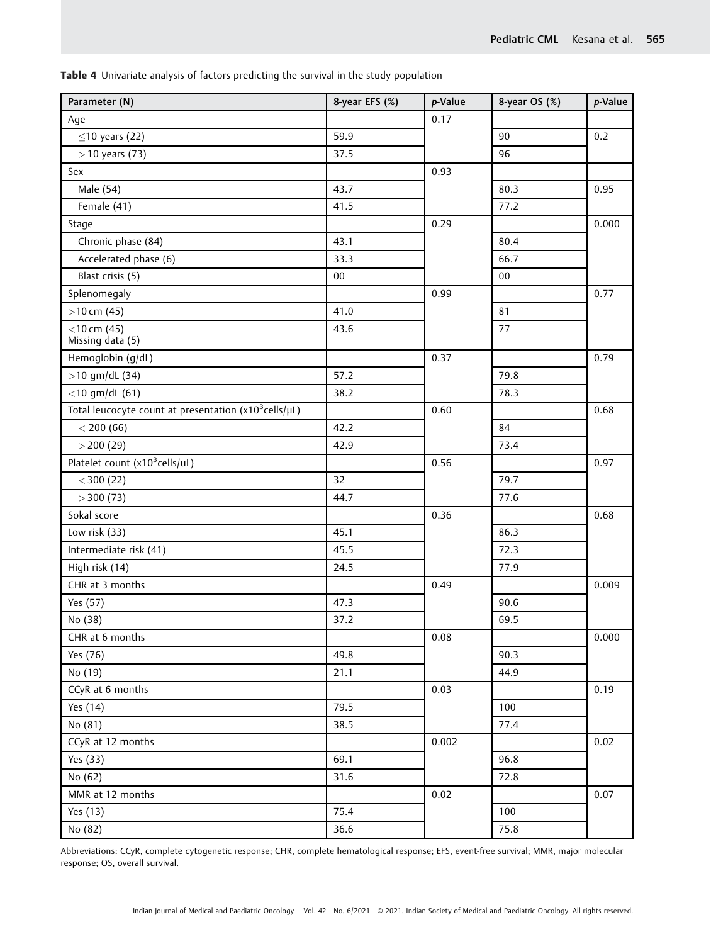Table 4 Univariate analysis of factors predicting the survival in the study population

| Parameter (N)                                                  | 8-year EFS (%) | p-Value | 8-year OS (%) | p-Value |
|----------------------------------------------------------------|----------------|---------|---------------|---------|
| Age                                                            |                | 0.17    |               |         |
| $\leq$ 10 years (22)                                           | 59.9           |         | 90            | 0.2     |
| $>$ 10 years (73)                                              | 37.5           |         | 96            |         |
| Sex                                                            |                | 0.93    |               |         |
| Male (54)                                                      | 43.7           |         | 80.3          | 0.95    |
| Female (41)                                                    | 41.5           |         | 77.2          |         |
| Stage                                                          |                | 0.29    |               | 0.000   |
| Chronic phase (84)                                             | 43.1           |         | 80.4          |         |
| Accelerated phase (6)                                          | 33.3           |         | 66.7          |         |
| Blast crisis (5)                                               | $00\,$         |         | $00\,$        |         |
| Splenomegaly                                                   |                | 0.99    |               | 0.77    |
| $>10$ cm (45)                                                  | 41.0           |         | 81            |         |
| $<$ 10 cm (45)                                                 | 43.6           |         | 77            |         |
| Missing data (5)                                               |                |         |               |         |
| Hemoglobin (g/dL)                                              |                | 0.37    |               | 0.79    |
| $>10$ gm/dL (34)                                               | 57.2           |         | 79.8          |         |
| $<$ 10 gm/dL (61)                                              | 38.2           |         | 78.3          |         |
| Total leucocyte count at presentation $(x10^3$ cells/ $\mu$ L) |                | 0.60    |               | 0.68    |
| < 200(66)                                                      | 42.2           |         | 84            |         |
| $>$ 200 (29)                                                   | 42.9           |         | 73.4          |         |
| Platelet count $(x10^3$ cells/uL)                              |                | 0.56    |               | 0.97    |
| $<$ 300 (22)                                                   | 32             |         | 79.7          |         |
| $>$ 300 (73)                                                   | 44.7           |         | 77.6          |         |
| Sokal score                                                    |                | 0.36    |               | 0.68    |
| Low risk (33)                                                  | 45.1           |         | 86.3          |         |
| Intermediate risk (41)                                         | 45.5           |         | 72.3          |         |
| High risk (14)                                                 | 24.5           |         | 77.9          |         |
| CHR at 3 months                                                |                | 0.49    |               | 0.009   |
| Yes (57)                                                       | 47.3           |         | 90.6          |         |
| No (38)                                                        | 37.2           |         | 69.5          |         |
| CHR at 6 months                                                |                | 0.08    |               | 0.000   |
| Yes (76)                                                       | 49.8           |         | 90.3          |         |
| No (19)                                                        | 21.1           |         | 44.9          |         |
| CCyR at 6 months                                               |                | 0.03    |               | 0.19    |
| Yes (14)                                                       | 79.5           |         | 100           |         |
| No (81)                                                        | 38.5           |         | 77.4          |         |
| CCyR at 12 months                                              |                | 0.002   |               | 0.02    |
| Yes (33)                                                       | 69.1           |         | 96.8          |         |
| No (62)                                                        | 31.6           |         | 72.8          |         |
| MMR at 12 months                                               |                | 0.02    |               | 0.07    |
| Yes (13)                                                       | 75.4           |         | 100           |         |
| No (82)                                                        | 36.6           |         | 75.8          |         |

Abbreviations: CCyR, complete cytogenetic response; CHR, complete hematological response; EFS, event-free survival; MMR, major molecular response; OS, overall survival.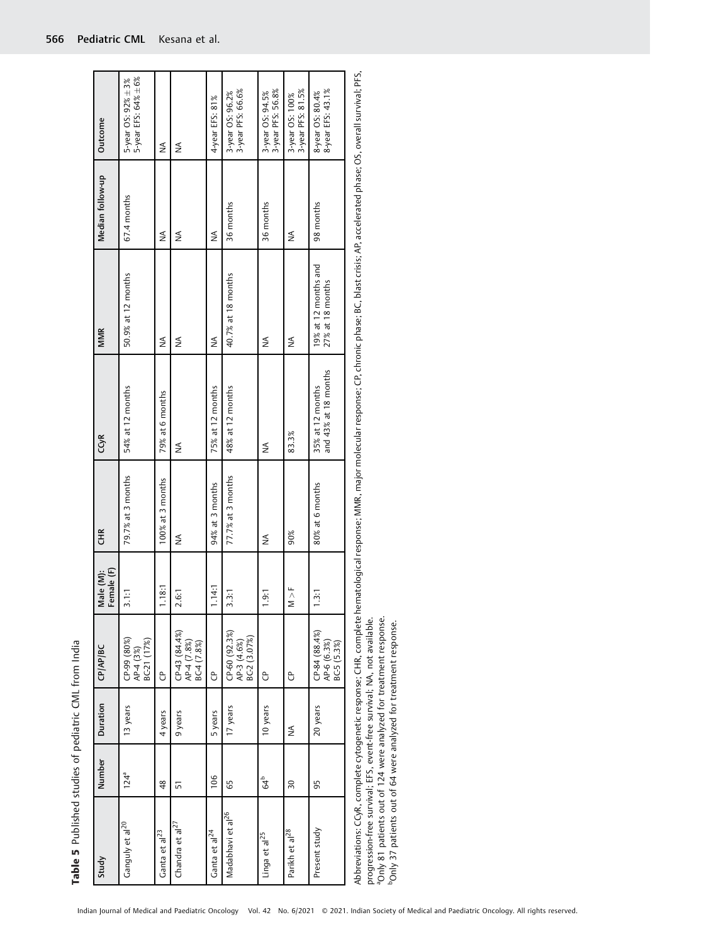| Study                         | Number          | Duration | CP/AP/BC                                     | Female (F)<br>Male (M): | <b>CHR</b>          | CCyR                                     | <b>MMR</b>                                 | Median follow-up | Outcome                                    |
|-------------------------------|-----------------|----------|----------------------------------------------|-------------------------|---------------------|------------------------------------------|--------------------------------------------|------------------|--------------------------------------------|
| Ganguly et al <sup>20</sup>   | $124^a$         | 13 years | CP-99 (80%)<br>AP-4 (3%)<br>BC-21 (17%)      | 3.11                    | 79.7% at 3 months   | 54% at 12 months                         | 50.9% at 12 months                         | 67.4 months      | 5-year EFS: 64% ±6%<br>5-year OS: 92% ± 3% |
| Ganta et al $^{23}$           | 48              | 4 years  | ჭ                                            | .18:1                   | 100% at 3 months    | 79% at 6 months                          | ≸                                          | ≸                | ≨                                          |
| Chandra et al <sup>27</sup>   | 57              | 9 years  | $CP-43(84.4%)$<br>AP-4 (7.8%)<br>BC-4 (7.8%) | 2.6:1                   | ₹                   | ≸                                        | ⋚                                          | ≸                | ≸                                          |
| Ganta et al <sup>24</sup>     | 106             | 5 years  | Ĝ                                            | .14.1                   | 94% at 3 months     | 75% at 12 months                         | ≸                                          | ≸                | 4-year EFS: 81%                            |
| Madabhavi et al <sup>26</sup> | 65              | 17 years | CP-60 (92.3%)<br>AP-3 (4.6%)<br>BC-2 (3.07%) | 3.3:1                   | $77.7%$ at 3 months | 48% at 12 months                         | 40.7% at 18 months                         | 36 months        | 3-year OS: 96.2%<br>3-year PFS: 66.6%      |
| Linga et al <sup>25</sup>     | 64 <sup>b</sup> | 10 years | පි                                           | <b>G</b> :              | $\frac{1}{2}$       | ⋚                                        | ≸                                          | 36 months        | 3-year OS: 94.5%<br>3-year PFS: 56.8%      |
| Parikh et al <sup>28</sup>    | $\overline{30}$ | ≨        | ჭ                                            | M > F                   | 90%                 | 83.3%                                    | ≸                                          | ≸                | 3-year PFS: 81.5%<br>3-year OS: 100%       |
| Present study                 | 95              | 20 years | $CP-84(88.4%)$<br>AP-6 (6.3%)<br>BC-5 (5.3%) | $\ddot{3}$ :            | 80% at 6 months     | and 43% at 18 months<br>35% at 12 months | 19% at 12 months and<br>$27%$ at 18 months | 98 months        | 8-year EFS: 43.1%<br>8-year OS: 80.4%      |
|                               |                 |          |                                              |                         |                     |                                          |                                            |                  |                                            |

Table 5 Published studies of pediatric CML from India

Table 5 Published studies of pediatric CML from India

Abbreviations: CCyR, complete cytogenetic response; CHR, complete hematological response; MMR, major molecular response; CP, chronic phase; BC, blast crisis; AP, accelerated phase; OS, overall survival; PFS,<br>progression-fr Abbreviations: CCyR, complete cytogenetic response; CHR, complete hematological response; MMR, major molecular response; CP, chronic phase; BC, blast crisis; AP, accelerated phase; OS, overall survival; PFS, progression-free survival; EFS, event-free survival; NA, not available.

aOnly 81 patients out of 124 were analyzed for treatment response.

<sup>a</sup>Only 81 patients out of 124 were analyzed for treatment response.<br><sup>b</sup>Only 37 patients out of 64 were analyzed for treatment response. bOnly 37 patients out of 64 were analyzed for treatment response.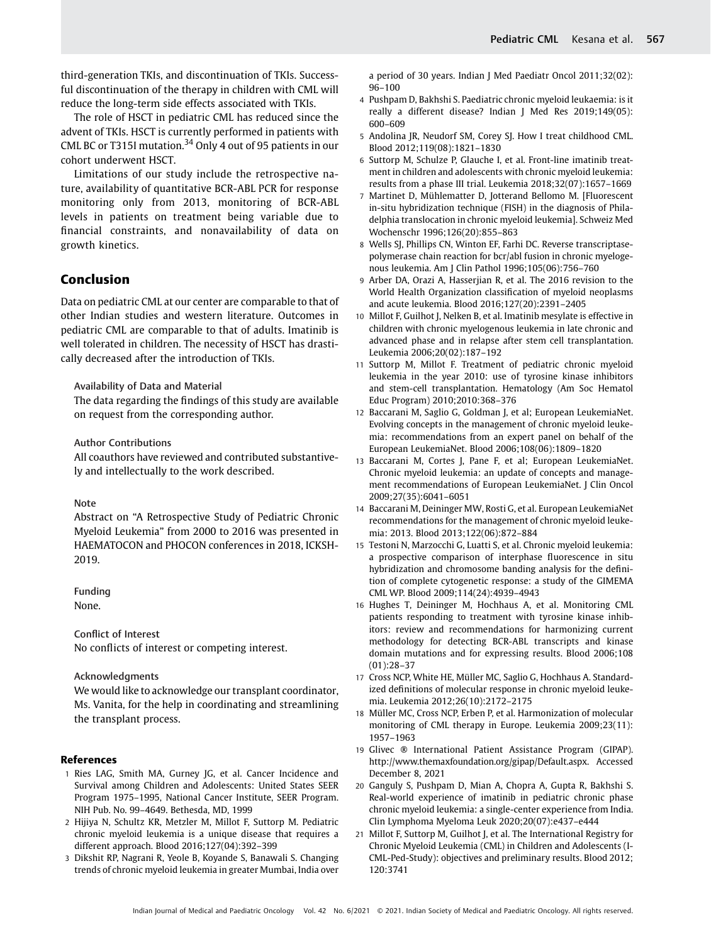third-generation TKIs, and discontinuation of TKIs. Successful discontinuation of the therapy in children with CML will reduce the long-term side effects associated with TKIs.

The role of HSCT in pediatric CML has reduced since the advent of TKIs. HSCT is currently performed in patients with CML BC or T315I mutation.<sup>34</sup> Only 4 out of 95 patients in our cohort underwent HSCT.

Limitations of our study include the retrospective nature, availability of quantitative BCR-ABL PCR for response monitoring only from 2013, monitoring of BCR-ABL levels in patients on treatment being variable due to financial constraints, and nonavailability of data on growth kinetics.

# Conclusion

Data on pediatric CML at our center are comparable to that of other Indian studies and western literature. Outcomes in pediatric CML are comparable to that of adults. Imatinib is well tolerated in children. The necessity of HSCT has drastically decreased after the introduction of TKIs.

Availability of Data and Material

The data regarding the findings of this study are available on request from the corresponding author.

Author Contributions

All coauthors have reviewed and contributed substantively and intellectually to the work described.

### Note

Abstract on "A Retrospective Study of Pediatric Chronic Myeloid Leukemia" from 2000 to 2016 was presented in HAEMATOCON and PHOCON conferences in 2018, ICKSH-2019.

Funding None.

Conflict of Interest

No conflicts of interest or competing interest.

## Acknowledgments

We would like to acknowledge our transplant coordinator, Ms. Vanita, for the help in coordinating and streamlining the transplant process.

#### References

- 1 Ries LAG, Smith MA, Gurney JG, et al. Cancer Incidence and Survival among Children and Adolescents: United States SEER Program 1975–1995, National Cancer Institute, SEER Program. NIH Pub. No. 99–4649. Bethesda, MD, 1999
- 2 Hijiya N, Schultz KR, Metzler M, Millot F, Suttorp M. Pediatric chronic myeloid leukemia is a unique disease that requires a different approach. Blood 2016;127(04):392–399
- 3 Dikshit RP, Nagrani R, Yeole B, Koyande S, Banawali S. Changing trends of chronic myeloid leukemia in greater Mumbai, India over

a period of 30 years. Indian J Med Paediatr Oncol 2011;32(02): 96–100

- 4 Pushpam D, Bakhshi S. Paediatric chronic myeloid leukaemia: is it really a different disease? Indian J Med Res 2019;149(05): 600–609
- 5 Andolina JR, Neudorf SM, Corey SJ. How I treat childhood CML. Blood 2012;119(08):1821–1830
- 6 Suttorp M, Schulze P, Glauche I, et al. Front-line imatinib treatment in children and adolescents with chronic myeloid leukemia: results from a phase III trial. Leukemia 2018;32(07):1657–1669
- 7 Martinet D, Mühlematter D, Jotterand Bellomo M. [Fluorescent in-situ hybridization technique (FISH) in the diagnosis of Philadelphia translocation in chronic myeloid leukemia]. Schweiz Med Wochenschr 1996;126(20):855–863
- 8 Wells SJ, Phillips CN, Winton EF, Farhi DC. Reverse transcriptasepolymerase chain reaction for bcr/abl fusion in chronic myelogenous leukemia. Am J Clin Pathol 1996;105(06):756–760
- 9 Arber DA, Orazi A, Hasserjian R, et al. The 2016 revision to the World Health Organization classification of myeloid neoplasms and acute leukemia. Blood 2016;127(20):2391–2405
- 10 Millot F, Guilhot J, Nelken B, et al. Imatinib mesylate is effective in children with chronic myelogenous leukemia in late chronic and advanced phase and in relapse after stem cell transplantation. Leukemia 2006;20(02):187–192
- 11 Suttorp M, Millot F. Treatment of pediatric chronic myeloid leukemia in the year 2010: use of tyrosine kinase inhibitors and stem-cell transplantation. Hematology (Am Soc Hematol Educ Program) 2010;2010:368–376
- 12 Baccarani M, Saglio G, Goldman J, et al; European LeukemiaNet. Evolving concepts in the management of chronic myeloid leukemia: recommendations from an expert panel on behalf of the European LeukemiaNet. Blood 2006;108(06):1809–1820
- 13 Baccarani M, Cortes J, Pane F, et al; European LeukemiaNet. Chronic myeloid leukemia: an update of concepts and management recommendations of European LeukemiaNet. J Clin Oncol 2009;27(35):6041–6051
- 14 Baccarani M, Deininger MW, Rosti G, et al. European LeukemiaNet recommendations for the management of chronic myeloid leukemia: 2013. Blood 2013;122(06):872–884
- 15 Testoni N, Marzocchi G, Luatti S, et al. Chronic myeloid leukemia: a prospective comparison of interphase fluorescence in situ hybridization and chromosome banding analysis for the definition of complete cytogenetic response: a study of the GIMEMA CML WP. Blood 2009;114(24):4939–4943
- 16 Hughes T, Deininger M, Hochhaus A, et al. Monitoring CML patients responding to treatment with tyrosine kinase inhibitors: review and recommendations for harmonizing current methodology for detecting BCR-ABL transcripts and kinase domain mutations and for expressing results. Blood 2006;108 (01):28–37
- 17 Cross NCP, White HE, Müller MC, Saglio G, Hochhaus A. Standardized definitions of molecular response in chronic myeloid leukemia. Leukemia 2012;26(10):2172–2175
- 18 Müller MC, Cross NCP, Erben P, et al. Harmonization of molecular monitoring of CML therapy in Europe. Leukemia 2009;23(11): 1957–1963
- 19 Glivec ® International Patient Assistance Program (GIPAP). <http://www.themaxfoundation.org/gipap/Default.aspx>. Accessed December 8, 2021
- 20 Ganguly S, Pushpam D, Mian A, Chopra A, Gupta R, Bakhshi S. Real-world experience of imatinib in pediatric chronic phase chronic myeloid leukemia: a single-center experience from India. Clin Lymphoma Myeloma Leuk 2020;20(07):e437–e444
- 21 Millot F, Suttorp M, Guilhot J, et al. The International Registry for Chronic Myeloid Leukemia (CML) in Children and Adolescents (I-CML-Ped-Study): objectives and preliminary results. Blood 2012; 120:3741